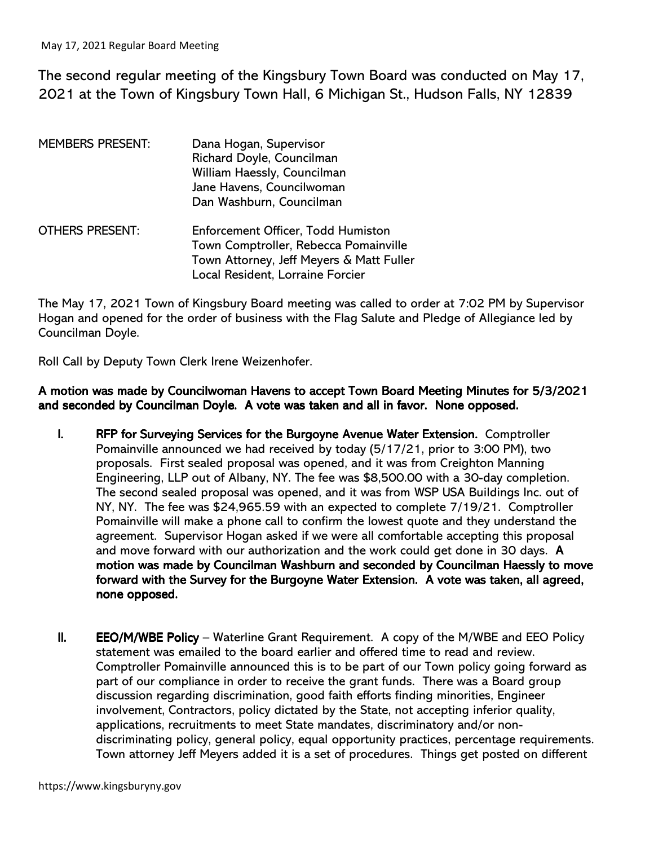The second regular meeting of the Kingsbury Town Board was conducted on May 17, 2021 at the Town of Kingsbury Town Hall, 6 Michigan St., Hudson Falls, NY 12839

| <b>MEMBERS PRESENT:</b> | Dana Hogan, Supervisor<br>Richard Doyle, Councilman<br>William Haessly, Councilman<br>Jane Havens, Councilwoman<br>Dan Washburn, Councilman                 |
|-------------------------|-------------------------------------------------------------------------------------------------------------------------------------------------------------|
| <b>OTHERS PRESENT:</b>  | Enforcement Officer, Todd Humiston<br>Town Comptroller, Rebecca Pomainville<br>Town Attorney, Jeff Meyers & Matt Fuller<br>Local Resident, Lorraine Forcier |

The May 17, 2021 Town of Kingsbury Board meeting was called to order at 7:02 PM by Supervisor Hogan and opened for the order of business with the Flag Salute and Pledge of Allegiance led by Councilman Doyle.

Roll Call by Deputy Town Clerk Irene Weizenhofer.

A motion was made by Councilwoman Havens to accept Town Board Meeting Minutes for 5/3/2021 and seconded by Councilman Doyle. A vote was taken and all in favor. None opposed.

- I. RFP for Surveying Services for the Burgoyne Avenue Water Extension. Comptroller Pomainville announced we had received by today (5/17/21, prior to 3:00 PM), two proposals. First sealed proposal was opened, and it was from Creighton Manning Engineering, LLP out of Albany, NY. The fee was \$8,500.00 with a 30-day completion. The second sealed proposal was opened, and it was from WSP USA Buildings Inc. out of NY, NY. The fee was \$24,965.59 with an expected to complete 7/19/21. Comptroller Pomainville will make a phone call to confirm the lowest quote and they understand the agreement. Supervisor Hogan asked if we were all comfortable accepting this proposal and move forward with our authorization and the work could get done in 30 days. A motion was made by Councilman Washburn and seconded by Councilman Haessly to move forward with the Survey for the Burgoyne Water Extension. A vote was taken, all agreed, none opposed.
- II. **EEO/M/WBE Policy** Waterline Grant Requirement. A copy of the M/WBE and EEO Policy statement was emailed to the board earlier and offered time to read and review. Comptroller Pomainville announced this is to be part of our Town policy going forward as part of our compliance in order to receive the grant funds. There was a Board group discussion regarding discrimination, good faith efforts finding minorities, Engineer involvement, Contractors, policy dictated by the State, not accepting inferior quality, applications, recruitments to meet State mandates, discriminatory and/or nondiscriminating policy, general policy, equal opportunity practices, percentage requirements. Town attorney Jeff Meyers added it is a set of procedures. Things get posted on different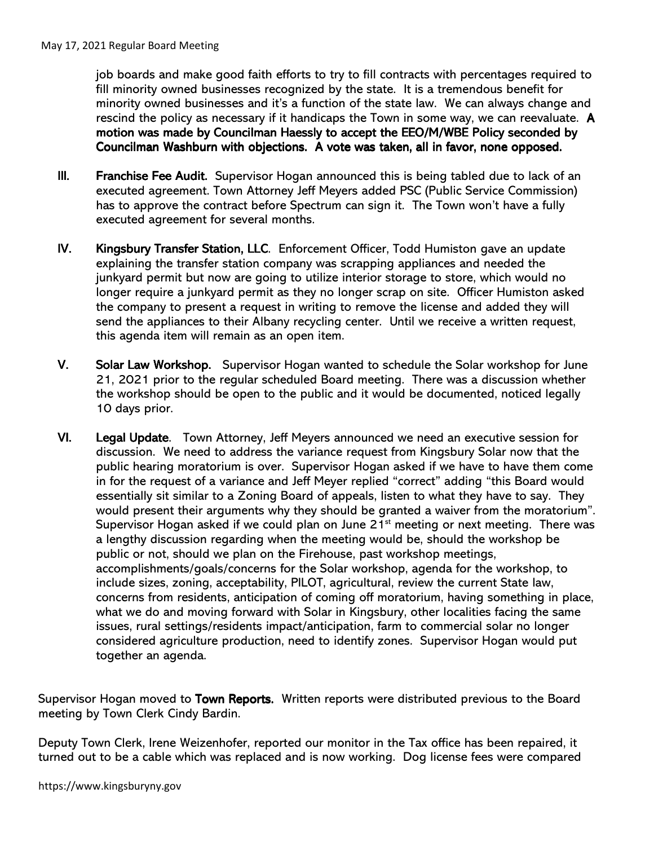job boards and make good faith efforts to try to fill contracts with percentages required to fill minority owned businesses recognized by the state. It is a tremendous benefit for minority owned businesses and it's a function of the state law. We can always change and rescind the policy as necessary if it handicaps the Town in some way, we can reevaluate. A motion was made by Councilman Haessly to accept the EEO/M/WBE Policy seconded by Councilman Washburn with objections. A vote was taken, all in favor, none opposed.

- III. Franchise Fee Audit. Supervisor Hogan announced this is being tabled due to lack of an executed agreement. Town Attorney Jeff Meyers added PSC (Public Service Commission) has to approve the contract before Spectrum can sign it. The Town won't have a fully executed agreement for several months.
- IV. Kingsbury Transfer Station, LLC. Enforcement Officer, Todd Humiston gave an update explaining the transfer station company was scrapping appliances and needed the junkyard permit but now are going to utilize interior storage to store, which would no longer require a junkyard permit as they no longer scrap on site. Officer Humiston asked the company to present a request in writing to remove the license and added they will send the appliances to their Albany recycling center. Until we receive a written request, this agenda item will remain as an open item.
- V. Solar Law Workshop. Supervisor Hogan wanted to schedule the Solar workshop for June 21, 2021 prior to the regular scheduled Board meeting. There was a discussion whether the workshop should be open to the public and it would be documented, noticed legally 10 days prior.
- VI. Legal Update. Town Attorney, Jeff Meyers announced we need an executive session for discussion. We need to address the variance request from Kingsbury Solar now that the public hearing moratorium is over. Supervisor Hogan asked if we have to have them come in for the request of a variance and Jeff Meyer replied "correct" adding "this Board would essentially sit similar to a Zoning Board of appeals, listen to what they have to say. They would present their arguments why they should be granted a waiver from the moratorium". Supervisor Hogan asked if we could plan on June  $21<sup>st</sup>$  meeting or next meeting. There was a lengthy discussion regarding when the meeting would be, should the workshop be public or not, should we plan on the Firehouse, past workshop meetings, accomplishments/goals/concerns for the Solar workshop, agenda for the workshop, to include sizes, zoning, acceptability, PILOT, agricultural, review the current State law, concerns from residents, anticipation of coming off moratorium, having something in place, what we do and moving forward with Solar in Kingsbury, other localities facing the same issues, rural settings/residents impact/anticipation, farm to commercial solar no longer considered agriculture production, need to identify zones. Supervisor Hogan would put together an agenda.

Supervisor Hogan moved to Town Reports. Written reports were distributed previous to the Board meeting by Town Clerk Cindy Bardin.

Deputy Town Clerk, Irene Weizenhofer, reported our monitor in the Tax office has been repaired, it turned out to be a cable which was replaced and is now working. Dog license fees were compared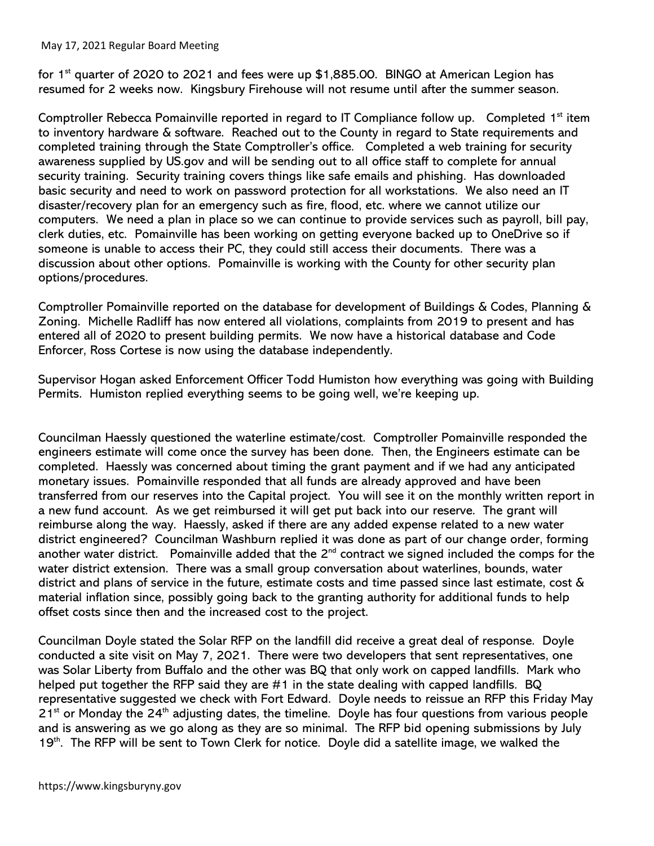## May 17, 2021 Regular Board Meeting

for 1<sup>st</sup> quarter of 2020 to 2021 and fees were up \$1,885.00. BINGO at American Legion has resumed for 2 weeks now. Kingsbury Firehouse will not resume until after the summer season.

Comptroller Rebecca Pomainville reported in regard to IT Compliance follow up. Completed 1<sup>st</sup> item to inventory hardware & software. Reached out to the County in regard to State requirements and completed training through the State Comptroller's office. Completed a web training for security awareness supplied by US.gov and will be sending out to all office staff to complete for annual security training. Security training covers things like safe emails and phishing. Has downloaded basic security and need to work on password protection for all workstations. We also need an IT disaster/recovery plan for an emergency such as fire, flood, etc. where we cannot utilize our computers. We need a plan in place so we can continue to provide services such as payroll, bill pay, clerk duties, etc. Pomainville has been working on getting everyone backed up to OneDrive so if someone is unable to access their PC, they could still access their documents. There was a discussion about other options. Pomainville is working with the County for other security plan options/procedures.

Comptroller Pomainville reported on the database for development of Buildings & Codes, Planning & Zoning. Michelle Radliff has now entered all violations, complaints from 2019 to present and has entered all of 2020 to present building permits. We now have a historical database and Code Enforcer, Ross Cortese is now using the database independently.

Supervisor Hogan asked Enforcement Officer Todd Humiston how everything was going with Building Permits. Humiston replied everything seems to be going well, we're keeping up.

Councilman Haessly questioned the waterline estimate/cost. Comptroller Pomainville responded the engineers estimate will come once the survey has been done. Then, the Engineers estimate can be completed. Haessly was concerned about timing the grant payment and if we had any anticipated monetary issues. Pomainville responded that all funds are already approved and have been transferred from our reserves into the Capital project. You will see it on the monthly written report in a new fund account. As we get reimbursed it will get put back into our reserve. The grant will reimburse along the way. Haessly, asked if there are any added expense related to a new water district engineered? Councilman Washburn replied it was done as part of our change order, forming another water district. Pomainville added that the 2<sup>nd</sup> contract we signed included the comps for the water district extension. There was a small group conversation about waterlines, bounds, water district and plans of service in the future, estimate costs and time passed since last estimate, cost & material inflation since, possibly going back to the granting authority for additional funds to help offset costs since then and the increased cost to the project.

Councilman Doyle stated the Solar RFP on the landfill did receive a great deal of response. Doyle conducted a site visit on May 7, 2021. There were two developers that sent representatives, one was Solar Liberty from Buffalo and the other was BQ that only work on capped landfills. Mark who helped put together the RFP said they are #1 in the state dealing with capped landfills. BQ representative suggested we check with Fort Edward. Doyle needs to reissue an RFP this Friday May  $21<sup>st</sup>$  or Monday the 24<sup>th</sup> adjusting dates, the timeline. Doyle has four questions from various people and is answering as we go along as they are so minimal. The RFP bid opening submissions by July 19<sup>th</sup>. The RFP will be sent to Town Clerk for notice. Doyle did a satellite image, we walked the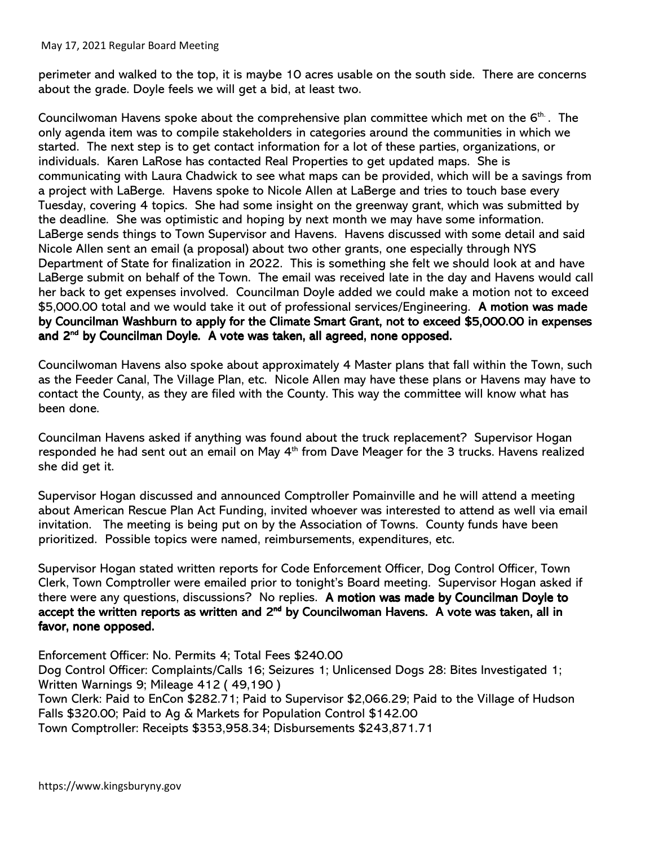## May 17, 2021 Regular Board Meeting

perimeter and walked to the top, it is maybe 10 acres usable on the south side. There are concerns about the grade. Doyle feels we will get a bid, at least two.

Councilwoman Havens spoke about the comprehensive plan committee which met on the 6<sup>th.</sup>. The only agenda item was to compile stakeholders in categories around the communities in which we started. The next step is to get contact information for a lot of these parties, organizations, or individuals. Karen LaRose has contacted Real Properties to get updated maps. She is communicating with Laura Chadwick to see what maps can be provided, which will be a savings from a project with LaBerge. Havens spoke to Nicole Allen at LaBerge and tries to touch base every Tuesday, covering 4 topics. She had some insight on the greenway grant, which was submitted by the deadline. She was optimistic and hoping by next month we may have some information. LaBerge sends things to Town Supervisor and Havens. Havens discussed with some detail and said Nicole Allen sent an email (a proposal) about two other grants, one especially through NYS Department of State for finalization in 2022. This is something she felt we should look at and have LaBerge submit on behalf of the Town. The email was received late in the day and Havens would call her back to get expenses involved. Councilman Doyle added we could make a motion not to exceed \$5,000.00 total and we would take it out of professional services/Engineering. A motion was made by Councilman Washburn to apply for the Climate Smart Grant, not to exceed \$5,000.00 in expenses and 2<sup>nd</sup> by Councilman Doyle. A vote was taken, all agreed, none opposed.

Councilwoman Havens also spoke about approximately 4 Master plans that fall within the Town, such as the Feeder Canal, The Village Plan, etc. Nicole Allen may have these plans or Havens may have to contact the County, as they are filed with the County. This way the committee will know what has been done.

Councilman Havens asked if anything was found about the truck replacement? Supervisor Hogan responded he had sent out an email on May 4th from Dave Meager for the 3 trucks. Havens realized she did get it.

Supervisor Hogan discussed and announced Comptroller Pomainville and he will attend a meeting about American Rescue Plan Act Funding, invited whoever was interested to attend as well via email invitation. The meeting is being put on by the Association of Towns. County funds have been prioritized. Possible topics were named, reimbursements, expenditures, etc.

Supervisor Hogan stated written reports for Code Enforcement Officer, Dog Control Officer, Town Clerk, Town Comptroller were emailed prior to tonight's Board meeting. Supervisor Hogan asked if there were any questions, discussions? No replies. A motion was made by Councilman Doyle to accept the written reports as written and 2<sup>nd</sup> by Councilwoman Havens. A vote was taken, all in favor, none opposed.

Enforcement Officer: No. Permits 4; Total Fees \$240.00 Dog Control Officer: Complaints/Calls 16; Seizures 1; Unlicensed Dogs 28: Bites Investigated 1; Written Warnings 9; Mileage 412 ( 49,190 ) Town Clerk: Paid to EnCon \$282.71; Paid to Supervisor \$2,066.29; Paid to the Village of Hudson Falls \$320.00; Paid to Ag & Markets for Population Control \$142.00 Town Comptroller: Receipts \$353,958.34; Disbursements \$243,871.71